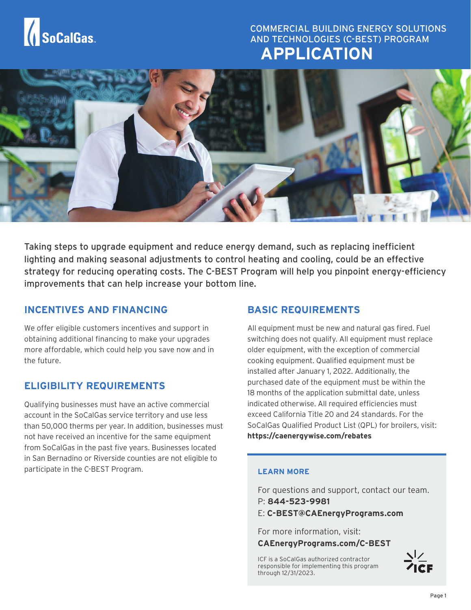

# COMMERCIAL BUILDING ENERGY SOLUTIONS AND TECHNOLOGIES (C-BEST) PROGRAM **APPLICATION**



Taking steps to upgrade equipment and reduce energy demand, such as replacing inefficient lighting and making seasonal adjustments to control heating and cooling, could be an effective strategy for reducing operating costs. The C-BEST Program will help you pinpoint energy-efficiency improvements that can help increase your bottom line.

## **INCENTIVES AND FINANCING**

We offer eligible customers incentives and support in obtaining additional financing to make your upgrades more affordable, which could help you save now and in the future.

## **ELIGIBILITY REQUIREMENTS**

Qualifying businesses must have an active commercial account in the SoCalGas service territory and use less than 50,000 therms per year. In addition, businesses must not have received an incentive for the same equipment from SoCalGas in the past five years. Businesses located in San Bernadino or Riverside counties are not eligible to participate in the C-BEST Program.

# **BASIC REQUIREMENTS**

All equipment must be new and natural gas fired. Fuel switching does not qualify. All equipment must replace older equipment, with the exception of commercial cooking equipment. Qualified equipment must be installed after January 1, 2022. Additionally, the purchased date of the equipment must be within the 18 months of the application submittal date, unless indicated otherwise. All required efficiencies must exceed California Title 20 and 24 standards. For the SoCalGas Qualified Product List (QPL) for broilers, visit: **<https://caenergywise.com/rebates>**

### **LEARN MORE**

For questions and support, contact our team. P: **844-523-9981** E: **[C-BEST@CAEnergyPrograms.com](mailto:C-BEST%40CAEnergyPrograms.com?subject=)**

For more information, visit:

### **[CAEnergyPrograms.com/C-BEST](https://CAEnergyPrograms.com/C-BEST)**

ICF is a SoCalGas authorized contractor responsible for implementing this program through 12/31/2023.

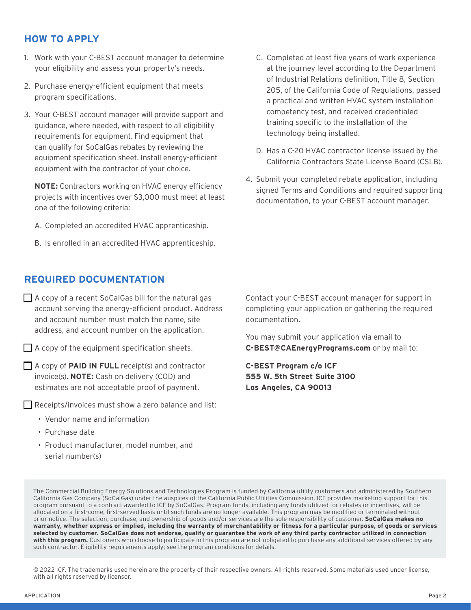# **HOW TO APPLY**

- 1. Work with your C-BEST account manager to determine your eligibility and assess your property's needs.
- 2. Purchase energy-efficient equipment that meets program specifications.
- 3. Your C-BEST account manager will provide support and guidance, where needed, with respect to all eligibility requirements for equipment. Find equipment that can qualify for SoCalGas rebates by reviewing the equipment specification sheet. Install energy-efficient equipment with the contractor of your choice.

**NOTE:** Contractors working on HVAC energy efficiency projects with incentives over \$3,000 must meet at least one of the following criteria:

- A. Completed an accredited HVAC apprenticeship.
- B. Is enrolled in an accredited HVAC apprenticeship.

## **REQUIRED DOCUMENTATION**

- $\Box$  A copy of a recent SoCalGas bill for the natural gas account serving the energy-efficient product. Address and account number must match the name, site address, and account number on the application.
- $\Box$  A copy of the equipment specification sheets.

□ A copy of **PAID IN FULL** receipt(s) and contractor invoice(s). **NOTE:** Cash on delivery (COD) and estimates are not acceptable proof of payment.

 $\Box$  Receipts/invoices must show a zero balance and list:

- Vendor name and information
- Purchase date
- Product manufacturer, model number, and serial number(s)
- C. Completed at least five years of work experience at the journey level according to the Department of Industrial Relations definition, Title 8, Section 205, of the California Code of Regulations, passed a practical and written HVAC system installation competency test, and received credentialed training specific to the installation of the technology being installed.
- D. Has a C-20 HVAC contractor license issued by the California Contractors State License Board (CSLB).
- 4. Submit your completed rebate application, including signed Terms and Conditions and required supporting documentation, to your C-BEST account manager.

Contact your C-BEST account manager for support in completing your application or gathering the required documentation.

You may submit your application via email to **[C-BEST@CAEnergyPrograms.com](mailto:C-BEST%40CAEnergyPrograms.com?subject=)** or by mail to:

**C-BEST Program c/o ICF 555 W. 5th Street Suite 3100 Los Angeles, CA 90013**

The Commercial Building Energy Solutions and Technologies Program is funded by California utility customers and administered by Southern California Gas Company (SoCalGas) under the auspices of the California Public Utilities Commission. ICF provides marketing support for this program pursuant to a contract awarded to ICF by SoCalGas. Program funds, including any funds utilized for rebates or incentives, will be allocated on a first-come, first-served basis until such funds are no longer available. This program may be modified or terminated without prior notice. The selection, purchase, and ownership of goods and/or services are the sole responsibility of customer. **SoCalGas makes no warranty, whether express or implied, including the warranty of merchantability or fitness for a particular purpose, of goods or services selected by customer. SoCalGas does not endorse, qualify or guarantee the work of any third party contractor utilized in connection with this program.** Customers who choose to participate in this program are not obligated to purchase any additional services offered by any such contractor. Eligibility requirements apply; see the program conditions for details.

© 2022 ICF. The trademarks used herein are the property of their respective owners. All rights reserved. Some materials used under license, with all rights reserved by licensor.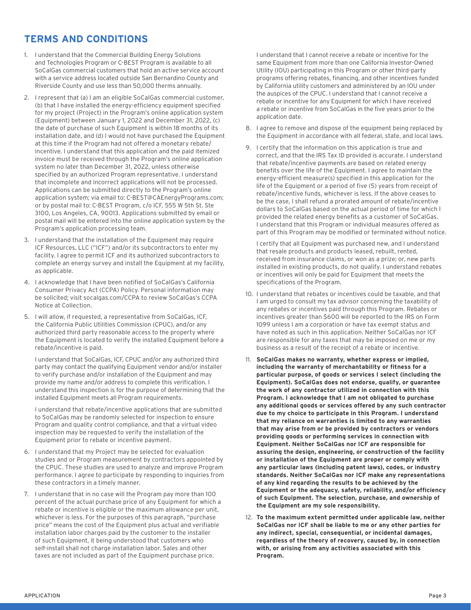# **TERMS AND CONDITIONS**

- 1. I understand that the Commercial Building Energy Solutions and Technologies Program or C-BEST Program is available to all SoCalGas commercial customers that hold an active service account with a service address located outside San Bernardino County and Riverside County and use less than 50,000 therms annually.
- 2. I represent that (a) I am an eligible SoCalGas commercial customer, (b) that I have installed the energy-efficiency equipment specified for my project (Project) in the Program's online application system (Equipment) between January 1, 2022 and December 31, 2022, (c) the date of purchase of such Equipment is within 18 months of its installation date, and (d) I would not have purchased the Equipment at this time if the Program had not offered a monetary rebate/ incentive. I understand that this application and the paid itemized invoice must be received through the Program's online application system no later than December 31, 2022, unless otherwise specified by an authorized Program representative. I understand that incomplete and incorrect applications will not be processed. Applications can be submitted directly to the Program's online application system; via email to: [C-BEST@CAEnergyPrograms.com;](mailto:CBEST%40CAEnergyPrograms.com?subject=) or by postal mail to: C-BEST Program, c/o ICF, 555 W 5th St. Ste 3100, Los Angeles, CA, 90013. Applications submitted by email or postal mail will be entered into the online application system by the Program's application processing team.
- 3. I understand that the installation of the Equipment may require ICF Resources, LLC ("ICF") and/or its subcontractors to enter my facility. I agree to permit ICF and its authorized subcontractors to complete an energy survey and install the Equipment at my facility, as applicable.
- 4. I acknowledge that I have been notified of SoCalGas's California Consumer Privacy Act (CCPA) Policy. Personal information may be solicited; visit socalgas.com/CCPA to review SoCalGas's CCPA Notice at Collection.
- 5. I will allow, if requested, a representative from SoCalGas, ICF, the California Public Utilities Commission (CPUC), and/or any authorized third party reasonable access to the property where the Equipment is located to verify the installed Equipment before a rebate/incentive is paid.

I understand that SoCalGas, ICF, CPUC and/or any authorized third party may contact the qualifying Equipment vendor and/or installer to verify purchase and/or installation of the Equipment and may provide my name and/or address to complete this verification. I understand this inspection is for the purpose of determining that the installed Equipment meets all Program requirements.

I understand that rebate/incentive applications that are submitted to SoCalGas may be randomly selected for inspection to ensure Program and quality control compliance, and that a virtual video inspection may be requested to verify the installation of the Equipment prior to rebate or incentive payment.

- 6. I understand that my Project may be selected for evaluation studies and or Program measurement by contractors appointed by the CPUC. These studies are used to analyze and improve Program performance. I agree to participate by responding to inquiries from these contractors in a timely manner.
- 7. I understand that in no case will the Program pay more than 100 percent of the actual purchase price of any Equipment for which a rebate or incentive is eligible or the maximum allowance per unit, whichever is less. For the purposes of this paragraph, "purchase price" means the cost of the Equipment plus actual and verifiable installation labor charges paid by the customer to the installer of such Equipment, it being understood that customers who self-install shall not charge installation labor. Sales and other taxes are not included as part of the Equipment purchase price.

I understand that I cannot receive a rebate or incentive for the same Equipment from more than one California Investor-Owned Utility (IOU) participating in this Program or other third-party programs offering rebates, financing, and other incentives funded by California utility customers and administered by an IOU under the auspices of the CPUC. I understand that I cannot receive a rebate or incentive for any Equipment for which I have received a rebate or incentive from SoCalGas in the five years prior to the application date.

- 8. I agree to remove and dispose of the equipment being replaced by the Equipment in accordance with all federal, state, and local laws.
- 9. I certify that the information on this application is true and correct, and that the IRS Tax ID provided is accurate. I understand that rebate/incentive payments are based on related energy benefits over the life of the Equipment. I agree to maintain the energy-efficient measure(s) specified in this application for the life of the Equipment or a period of five (5) years from receipt of rebate/incentive funds, whichever is less. If the above ceases to be the case, I shall refund a prorated amount of rebate/incentive dollars to SoCalGas based on the actual period of time for which I provided the related energy benefits as a customer of SoCalGas. I understand that this Program or individual measures offered as part of this Program may be modified or terminated without notice.

I certify that all Equipment was purchased new, and I understand that resale products and products leased, rebuilt, rented, received from insurance claims, or won as a prize; or, new parts installed in existing products, do not qualify. I understand rebates or incentives will only be paid for Equipment that meets the specifications of the Program.

- 10. I understand that rebates or incentives could be taxable, and that I am urged to consult my tax advisor concerning the taxability of any rebates or incentives paid through this Program. Rebates or incentives greater than \$600 will be reported to the IRS on Form 1099 unless I am a corporation or have tax exempt status and have noted as such in this application. Neither SoCalGas nor ICF are responsible for any taxes that may be imposed on me or my business as a result of the receipt of a rebate or incentive.
- 11. **SoCalGas makes no warranty, whether express or implied, including the warranty of merchantability or fitness for a particular purpose, of goods or services I select (including the Equipment). SoCalGas does not endorse, qualify, or guarantee the work of any contractor utilized in connection with this Program. I acknowledge that I am not obligated to purchase any additional goods or services offered by any such contractor due to my choice to participate in this Program. I understand that my reliance on warranties is limited to any warranties that may arise from or be provided by contractors or vendors providing goods or performing services in connection with Equipment. Neither SoCalGas nor ICF are responsible for assuring the design, engineering, or construction of the facility or installation of the Equipment are proper or comply with any particular laws (including patent laws), codes, or industry standards. Neither SoCalGas nor ICF make any representations of any kind regarding the results to be achieved by the Equipment or the adequacy, safety, reliability, and/or efficiency of such Equipment. The selection, purchase, and ownership of the Equipment are my sole responsibility.**
- 12. **To the maximum extent permitted under applicable law, neither SoCalGas nor ICF shall be liable to me or any other parties for any indirect, special, consequential, or incidental damages, regardless of the theory of recovery, caused by, in connection with, or arising from any activities associated with this Program.**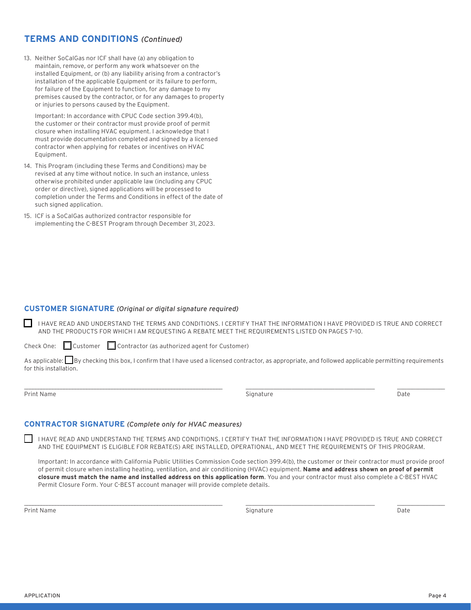## **TERMS AND CONDITIONS** *(Continued)*

13. Neither SoCalGas nor ICF shall have (a) any obligation to maintain, remove, or perform any work whatsoever on the installed Equipment, or (b) any liability arising from a contractor's installation of the applicable Equipment or its failure to perform, for failure of the Equipment to function, for any damage to my premises caused by the contractor, or for any damages to property or injuries to persons caused by the Equipment.

Important: In accordance with CPUC Code section 399.4(b), the customer or their contractor must provide proof of permit closure when installing HVAC equipment. I acknowledge that I must provide documentation completed and signed by a licensed contractor when applying for rebates or incentives on HVAC Equipment.

- 14. This Program (including these Terms and Conditions) may be revised at any time without notice. In such an instance, unless otherwise prohibited under applicable law (including any CPUC order or directive), signed applications will be processed to completion under the Terms and Conditions in effect of the date of such signed application.
- 15. ICF is a SoCalGas authorized contractor responsible for implementing the C-BEST Program through December 31, 2023.

### **CUSTOMER SIGNATURE** *(Original or digital signature required)*

 I HAVE READ AND UNDERSTAND THE TERMS AND CONDITIONS. I CERTIFY THAT THE INFORMATION I HAVE PROVIDED IS TRUE AND CORRECT AND THE PRODUCTS FOR WHICH I AM REQUESTING A REBATE MEET THE REQUIREMENTS LISTED ON PAGES 7–10.

Check One:  $\Box$  Customer  $\Box$  Contractor (as authorized agent for Customer)

As applicable: By checking this box, I confirm that I have used a licensed contractor, as appropriate, and followed applicable permitting requirements for this installation.

\_\_\_\_\_\_\_\_\_\_\_\_\_\_\_\_\_\_\_\_\_\_\_\_\_\_\_\_\_\_\_\_\_\_\_\_\_\_\_\_\_\_\_\_\_\_\_\_\_\_\_\_\_\_\_\_\_\_\_\_\_\_\_\_\_\_\_\_\_\_ \_\_\_\_\_\_\_\_\_\_\_\_\_\_\_\_\_\_\_\_\_\_\_\_\_\_\_\_\_\_\_\_\_\_\_\_\_\_\_\_\_\_ \_\_\_\_\_\_\_\_\_\_\_\_\_\_\_\_

Print Name Signature Date of the Date of the Signature Signature Date of the Date of the Date of the Date of the Date of the Date of the Date of the Date of the Date of the Date of the Date of the Date of the Date of the D

### **CONTRACTOR SIGNATURE** *(Complete only for HVAC measures)*

 I HAVE READ AND UNDERSTAND THE TERMS AND CONDITIONS. I CERTIFY THAT THE INFORMATION I HAVE PROVIDED IS TRUE AND CORRECT AND THE EQUIPMENT IS ELIGIBLE FOR REBATE(S) ARE INSTALLED, OPERATIONAL, AND MEET THE REQUIREMENTS OF THIS PROGRAM.

 Important: In accordance with California Public Utilities Commission Code section 399.4(b), the customer or their contractor must provide proof of permit closure when installing heating, ventilation, and air conditioning (HVAC) equipment. **Name and address shown on proof of permit closure must match the name and installed address on this application form**. You and your contractor must also complete a C-BEST HVAC Permit Closure Form. Your C-BEST account manager will provide complete details.

\_\_\_\_\_\_\_\_\_\_\_\_\_\_\_\_\_\_\_\_\_\_\_\_\_\_\_\_\_\_\_\_\_\_\_\_\_\_\_\_\_\_\_\_\_\_\_\_\_\_\_\_\_\_\_\_\_\_\_\_\_\_\_\_\_\_\_\_\_\_ \_\_\_\_\_\_\_\_\_\_\_\_\_\_\_\_\_\_\_\_\_\_\_\_\_\_\_\_\_\_\_\_\_\_\_\_\_\_\_\_\_\_ \_\_\_\_\_\_\_\_\_\_\_\_\_\_\_\_

Print Name Signature Date of the Date of the Signature Signature Date of the Date of the Date of the Date of the Date of the Date of the Date of the Date of the Date of the Date of the Date of the Date of the Date of the D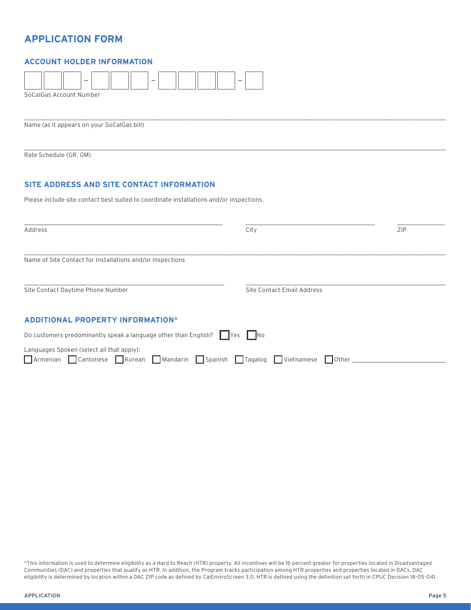# **APPLICATION FORM**

### **ACCOUNT HOLDER INFORMATION**

| $\qquad \qquad -$<br>-                                                                  | -    |     |
|-----------------------------------------------------------------------------------------|------|-----|
| SoCalGas Account Number                                                                 |      |     |
| Name (as it appears on your SoCalGas bill)                                              |      |     |
| Rate Schedule (GR, GM)                                                                  |      |     |
| SITE ADDRESS AND SITE CONTACT INFORMATION                                               |      |     |
| Please include site contact best suited to coordinate installations and/or inspections. |      |     |
|                                                                                         |      |     |
| Address                                                                                 | City | ZIP |
| Name of Site Contact for Installations and/or Inspections                               |      |     |

| <b>ADDITIONAL PROPERTY INFORMATION*</b>                                              |
|--------------------------------------------------------------------------------------|
| Do customers predominantly speak a language other than English? $\Box$ Yes $\Box$ No |
| Languages Spoken (select all that apply):                                            |
| Armenian Cantonese Korean Mandarin Spanish Tagalog Vietnamese Other                  |

\*This information is used to determine eligibility as a Hard to Reach (HTR) property. All incentives will be 16 percent greater for properties located in Disadvantaged Communities (DAC) and properties that qualify as HTR. In addition, the Program tracks participation among HTR properties and properties located in DACs. DAC eligibility is determined by location within a DAC ZIP code as defined by CalEnviroScreen 3.0. HTR is defined using the definition set forth in CPUC Decision 18-05-041.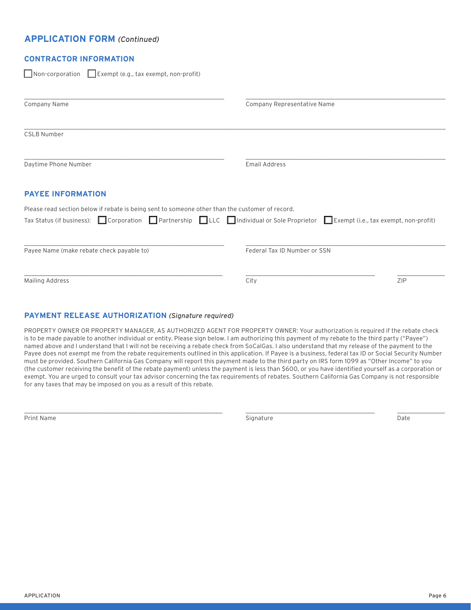### **APPLICATION FORM** *(Continued)*

### **CONTRACTOR INFORMATION**

 $\Box$  Non-corporation  $\Box$  Exempt (e.g., tax exempt, non-profit)

| Company Name                                                                                                                                                                                                                 |                              | Company Representative Name |  |  |  |
|------------------------------------------------------------------------------------------------------------------------------------------------------------------------------------------------------------------------------|------------------------------|-----------------------------|--|--|--|
| <b>CSLB Number</b>                                                                                                                                                                                                           |                              |                             |  |  |  |
| Daytime Phone Number                                                                                                                                                                                                         | Email Address                |                             |  |  |  |
| <b>PAYEE INFORMATION</b>                                                                                                                                                                                                     |                              |                             |  |  |  |
| Please read section below if rebate is being sent to someone other than the customer of record.<br>Tax Status (if business): Corporation Partnership LLC Individual or Sole Proprietor Exempt (i.e., tax exempt, non-profit) |                              |                             |  |  |  |
| Payee Name (make rebate check payable to)                                                                                                                                                                                    | Federal Tax ID Number or SSN |                             |  |  |  |
| <b>Mailing Address</b>                                                                                                                                                                                                       | City                         | ZIP                         |  |  |  |
|                                                                                                                                                                                                                              |                              |                             |  |  |  |

### **PAYMENT RELEASE AUTHORIZATION** *(Signature required)*

PROPERTY OWNER OR PROPERTY MANAGER, AS AUTHORIZED AGENT FOR PROPERTY OWNER: Your authorization is required if the rebate check is to be made payable to another individual or entity. Please sign below. I am authorizing this payment of my rebate to the third party ("Payee") named above and I understand that I will not be receiving a rebate check from SoCalGas. I also understand that my release of the payment to the Payee does not exempt me from the rebate requirements outlined in this application. If Payee is a business, federal tax ID or Social Security Number must be provided. Southern California Gas Company will report this payment made to the third party on IRS form 1099 as "Other Income" to you (the customer receiving the benefit of the rebate payment) unless the payment is less than \$600, or you have identified yourself as a corporation or exempt. You are urged to consult your tax advisor concerning the tax requirements of rebates. Southern California Gas Company is not responsible for any taxes that may be imposed on you as a result of this rebate.

Print Name Signature Date of the Date of the Signature Signature Date of the Date of the Date of the Date of the Date of the Date of the Date of the Date of the Date of the Date of the Date of the Date of the Date of the D

\_\_\_\_\_\_\_\_\_\_\_\_\_\_\_\_\_\_\_\_\_\_\_\_\_\_\_\_\_\_\_\_\_\_\_\_\_\_\_\_\_\_\_\_\_\_\_\_\_\_\_\_\_\_\_\_\_\_\_\_\_\_\_\_\_\_\_\_\_\_ \_\_\_\_\_\_\_\_\_\_\_\_\_\_\_\_\_\_\_\_\_\_\_\_\_\_\_\_\_\_\_\_\_\_\_\_\_\_\_\_\_\_ \_\_\_\_\_\_\_\_\_\_\_\_\_\_\_\_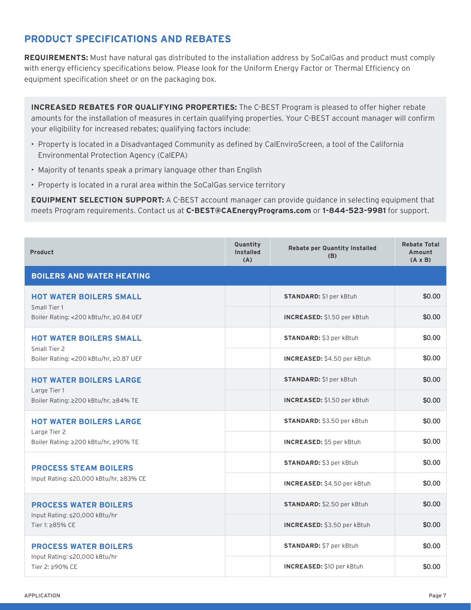# **PRODUCT SPECIFICATIONS AND REBATES**

**REQUIREMENTS:** Must have natural gas distributed to the installation address by SoCalGas and product must comply with energy efficiency specifications below. Please look for the Uniform Energy Factor or Thermal Efficiency on equipment specification sheet or on the packaging box.

**INCREASED REBATES FOR QUALIFYING PROPERTIES:** The C-BEST Program is pleased to offer higher rebate amounts for the installation of measures in certain qualifying properties. Your C-BEST account manager will confirm your eligibility for increased rebates; qualifying factors include:

- Property is located in a Disadvantaged Community as defined by CalEnviroScreen, a tool of the California Environmental Protection Agency (CalEPA)
- Majority of tenants speak a primary language other than English
- Property is located in a rural area within the SoCalGas service territory

**EQUIPMENT SELECTION SUPPORT:** A C-BEST account manager can provide guidance in selecting equipment that meets Program requirements. Contact us at **[C-BEST@CAEnergyPrograms.com](mailto:C-BEST%40CAEnergyPrograms.com?subject=)** or **1-844-523-9981** for support.

| Product                                                | Quantity<br><b>Rebate per Quantity Installed</b><br><b>Installed</b><br>(B)<br>(A) |                                    | <b>Rebate Total</b><br>Amount<br>$(A \times B)$ |
|--------------------------------------------------------|------------------------------------------------------------------------------------|------------------------------------|-------------------------------------------------|
| <b>BOILERS AND WATER HEATING</b>                       |                                                                                    |                                    |                                                 |
| <b>HOT WATER BOILERS SMALL</b>                         |                                                                                    | <b>STANDARD:</b> \$1 per kBtuh     | \$0.00                                          |
| Small Tier 1<br>Boiler Rating: <200 kBtu/hr, ≥0.84 UEF |                                                                                    | <b>INCREASED:</b> \$1.50 per kBtuh | \$0.00                                          |
| <b>HOT WATER BOILERS SMALL</b>                         |                                                                                    | STANDARD: \$3 per kBtuh            | \$0.00                                          |
| Small Tier 2<br>Boiler Rating: <200 kBtu/hr, ≥0.87 UEF |                                                                                    | INCREASED: \$4.50 per kBtuh        | \$0.00                                          |
| <b>HOT WATER BOILERS LARGE</b>                         |                                                                                    | <b>STANDARD:</b> \$1 per kBtuh     | \$0.00                                          |
| Large Tier 1<br>Boiler Rating: ≥200 kBtu/hr, ≥84% TE   |                                                                                    | INCREASED: \$1.50 per kBtuh        | \$0.00                                          |
| <b>HOT WATER BOILERS LARGE</b>                         |                                                                                    | STANDARD: \$3.50 per kBtuh         | \$0.00                                          |
| Large Tier 2<br>Boiler Rating: ≥200 kBtu/hr, ≥90% TE   |                                                                                    | INCREASED: \$5 per kBtuh           | \$0.00                                          |
| <b>PROCESS STEAM BOILERS</b>                           |                                                                                    | <b>STANDARD:</b> \$3 per kBtuh     | \$0.00                                          |
| Input Rating: ≤20,000 kBtu/hr, ≥83% CE                 |                                                                                    | INCREASED: \$4.50 per kBtuh        | \$0.00                                          |
| <b>PROCESS WATER BOILERS</b>                           |                                                                                    | <b>STANDARD:</b> \$2.50 per kBtuh  | \$0.00                                          |
| Input Rating: ≤20,000 kBtu/hr<br>Tier 1: >85% CE       |                                                                                    | INCREASED: \$3.50 per kBtuh        | \$0.00                                          |
| <b>PROCESS WATER BOILERS</b>                           |                                                                                    | <b>STANDARD:</b> \$7 per kBtuh     | \$0.00                                          |
| Input Rating: ≤20,000 kBtu/hr<br>Tier 2: ≥90% CE       |                                                                                    | INCREASED: \$10 per kBtuh          | \$0.00                                          |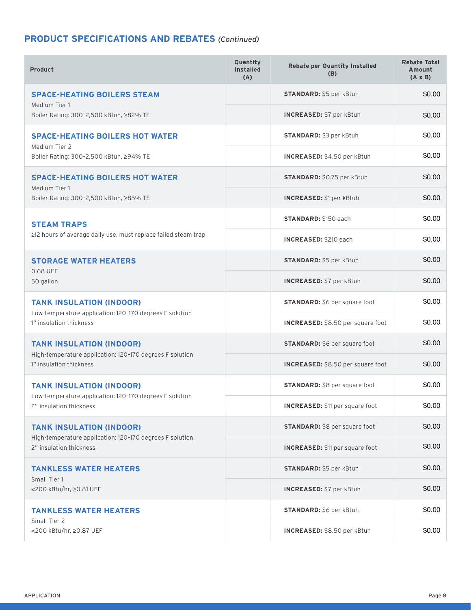## **PRODUCT SPECIFICATIONS AND REBATES** *(Continued)*

| <b>Product</b>                                                                              | Quantity<br><b>Installed</b><br>(A) | <b>Rebate per Quantity Installed</b><br>(B) | <b>Rebate Total</b><br>Amount<br>$(A \times B)$ |
|---------------------------------------------------------------------------------------------|-------------------------------------|---------------------------------------------|-------------------------------------------------|
| <b>SPACE-HEATING BOILERS STEAM</b><br>Medium Tier 1                                         |                                     | <b>STANDARD:</b> \$5 per kBtuh              | \$0.00                                          |
| Boiler Rating: 300-2,500 kBtuh, ≥82% TE                                                     |                                     | INCREASED: \$7 per kBtuh                    | \$0.00                                          |
| <b>SPACE-HEATING BOILERS HOT WATER</b>                                                      |                                     | STANDARD: \$3 per kBtuh                     | \$0.00                                          |
| Medium Tier 2<br>Boiler Rating: 300-2,500 kBtuh, ≥94% TE                                    |                                     | INCREASED: \$4.50 per kBtuh                 | \$0.00                                          |
| <b>SPACE-HEATING BOILERS HOT WATER</b>                                                      |                                     | STANDARD: \$0.75 per kBtuh                  | \$0.00                                          |
| Medium Tier 1<br>Boiler Rating: 300-2,500 kBtuh, ≥85% TE                                    |                                     | INCREASED: \$1 per kBtuh                    | \$0.00                                          |
| <b>STEAM TRAPS</b>                                                                          |                                     | <b>STANDARD: \$150 each</b>                 | \$0.00                                          |
| ≥12 hours of average daily use, must replace failed steam trap                              |                                     | <b>INCREASED: \$210 each</b>                | \$0.00                                          |
| <b>STORAGE WATER HEATERS</b><br>0.68 UEF                                                    |                                     | <b>STANDARD:</b> \$5 per kBtuh              | \$0.00                                          |
| 50 gallon                                                                                   |                                     | INCREASED: \$7 per kBtuh                    | \$0.00                                          |
| <b>TANK INSULATION (INDOOR)</b><br>Low-temperature application: 120-170 degrees F solution  |                                     | <b>STANDARD:</b> \$6 per square foot        | \$0.00                                          |
| 1" insulation thickness                                                                     |                                     | INCREASED: \$8.50 per square foot           | \$0.00                                          |
| <b>TANK INSULATION (INDOOR)</b><br>High-temperature application: 120-170 degrees F solution |                                     | <b>STANDARD:</b> \$6 per square foot        | \$0.00                                          |
| 1" insulation thickness                                                                     |                                     | INCREASED: \$8.50 per square foot           | \$0.00                                          |
| <b>TANK INSULATION (INDOOR)</b><br>Low-temperature application: 120-170 degrees F solution  |                                     | <b>STANDARD:</b> \$8 per square foot        | \$0.00                                          |
| 2" insulation thickness                                                                     |                                     | INCREASED: \$11 per square foot             | \$0.00                                          |
| <b>TANK INSULATION (INDOOR)</b><br>High-temperature application: 120-170 degrees F solution |                                     | <b>STANDARD:</b> \$8 per square foot        | \$0.00                                          |
| 2" insulation thickness                                                                     |                                     | <b>INCREASED:</b> \$11 per square foot      | \$0.00                                          |
| <b>TANKLESS WATER HEATERS</b><br>Small Tier 1                                               |                                     | <b>STANDARD:</b> \$5 per kBtuh              | \$0.00                                          |
| <200 kBtu/hr, ≥0.81 UEF                                                                     |                                     | INCREASED: \$7 per kBtuh                    | \$0.00                                          |
| <b>TANKLESS WATER HEATERS</b><br>Small Tier 2                                               |                                     | <b>STANDARD:</b> \$6 per kBtuh              | \$0.00                                          |
| <200 kBtu/hr, ≥0.87 UEF                                                                     |                                     | INCREASED: \$8.50 per kBtuh                 | \$0.00                                          |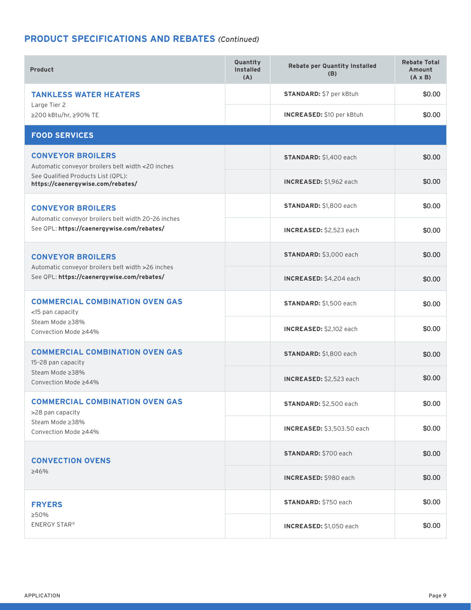## **PRODUCT SPECIFICATIONS AND REBATES** *(Continued)*

| <b>Product</b>                                                                                    | Quantity<br>Installed<br>(A) | <b>Rebate per Quantity Installed</b><br>(B) |        |
|---------------------------------------------------------------------------------------------------|------------------------------|---------------------------------------------|--------|
| <b>TANKLESS WATER HEATERS</b>                                                                     |                              | <b>STANDARD:</b> \$7 per kBtuh              | \$0.00 |
| Large Tier 2<br>≥200 kBtu/hr, ≥90% TE                                                             |                              | INCREASED: \$10 per kBtuh                   | \$0.00 |
| <b>FOOD SERVICES</b>                                                                              |                              |                                             |        |
| <b>CONVEYOR BROILERS</b><br>Automatic conveyor broilers belt width <20 inches                     |                              | STANDARD: \$1,400 each                      | \$0.00 |
| See Qualified Products List (QPL):<br>https://caenergywise.com/rebates/                           |                              | INCREASED: \$1,962 each                     | \$0.00 |
| <b>CONVEYOR BROILERS</b>                                                                          |                              | STANDARD: \$1,800 each                      | \$0.00 |
| Automatic conveyor broilers belt width 20-26 inches<br>See QPL: https://caenergywise.com/rebates/ |                              | INCREASED: \$2,523 each                     | \$0.00 |
| <b>CONVEYOR BROILERS</b>                                                                          |                              | STANDARD: \$3,000 each                      | \$0.00 |
| Automatic conveyor broilers belt width >26 inches<br>See QPL: https://caenergywise.com/rebates/   |                              | INCREASED: \$4,204 each                     | \$0.00 |
| <b>COMMERCIAL COMBINATION OVEN GAS</b><br><15 pan capacity                                        |                              | STANDARD: \$1,500 each                      | \$0.00 |
| Steam Mode ≥38%<br>Convection Mode ≥44%                                                           |                              | INCREASED: \$2,102 each                     | \$0.00 |
| <b>COMMERCIAL COMBINATION OVEN GAS</b><br>15-28 pan capacity                                      |                              | STANDARD: \$1,800 each                      | \$0.00 |
| Steam Mode >38%<br>Convection Mode ≥44%                                                           |                              | INCREASED: \$2,523 each                     | \$0.00 |
| <b>COMMERCIAL COMBINATION OVEN GAS</b><br>>28 pan capacity                                        |                              | STANDARD: \$2,500 each                      | \$0.00 |
| Steam Mode ≥38%<br>Convection Mode ≥44%                                                           |                              | <b>INCREASED:</b> \$3,503.50 each           | \$0.00 |
| <b>CONVECTION OVENS</b>                                                                           |                              | <b>STANDARD:</b> \$700 each                 | \$0.00 |
| ≥46%                                                                                              |                              | INCREASED: \$980 each                       | \$0.00 |
| <b>FRYERS</b>                                                                                     |                              | <b>STANDARD:</b> \$750 each                 | \$0.00 |
| ≥50%<br><b>ENERGY STAR®</b>                                                                       |                              | INCREASED: \$1,050 each                     | \$0.00 |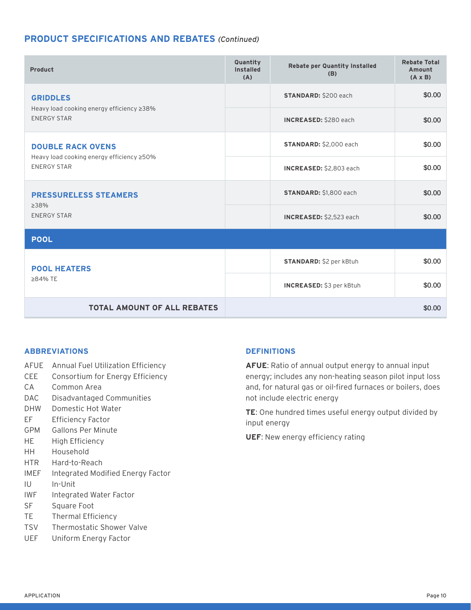## **PRODUCT SPECIFICATIONS AND REBATES** *(Continued)*

| Product                                                         | Quantity<br><b>Installed</b><br>(A) | <b>Rebate per Quantity Installed</b><br>(B) | <b>Rebate Total</b><br>Amount<br>$(A \times B)$ |
|-----------------------------------------------------------------|-------------------------------------|---------------------------------------------|-------------------------------------------------|
| <b>GRIDDLES</b>                                                 |                                     | <b>STANDARD: \$200 each</b>                 | \$0.00                                          |
| Heavy load cooking energy efficiency ≥38%<br><b>ENERGY STAR</b> |                                     | INCREASED: \$280 each                       | \$0.00                                          |
| <b>DOUBLE RACK OVENS</b>                                        |                                     | <b>STANDARD: \$2,000 each</b>               | \$0.00                                          |
| Heavy load cooking energy efficiency ≥50%<br><b>ENERGY STAR</b> |                                     | INCREASED: \$2,803 each                     | \$0.00                                          |
| <b>PRESSURELESS STEAMERS</b>                                    |                                     | <b>STANDARD:</b> \$1,800 each               | \$0.00                                          |
| ≥38%<br><b>ENERGY STAR</b>                                      |                                     | INCREASED: \$2,523 each                     | \$0.00                                          |
| <b>POOL</b>                                                     |                                     |                                             |                                                 |
| <b>POOL HEATERS</b>                                             | STANDARD: \$2 per kBtuh             |                                             | \$0.00                                          |
| ≥84% TE                                                         |                                     | INCREASED: \$3 per kBtuh                    | \$0.00                                          |
| <b>TOTAL AMOUNT OF ALL REBATES</b>                              |                                     |                                             | \$0.00                                          |

### **ABBREVIATIONS**

- AFUE Annual Fuel Utilization Efficiency
- CEE Consortium for Energy Efficiency
- CA Common Area
- DAC Disadvantaged Communities
- DHW Domestic Hot Water
- EF Efficiency Factor
- GPM Gallons Per Minute
- HE High Efficiency
- HH Household
- HTR Hard-to-Reach
- IMEF Integrated Modified Energy Factor
- IU In-Unit
- IWF Integrated Water Factor
- SF Square Foot
- TE Thermal Efficiency
- TSV Thermostatic Shower Valve
- UEF Uniform Energy Factor

### **DEFINITIONS**

**AFUE**: Ratio of annual output energy to annual input energy; includes any non-heating season pilot input loss and, for natural gas or oil-fired furnaces or boilers, does not include electric energy

**TE**: One hundred times useful energy output divided by input energy

**UEF**: New energy efficiency rating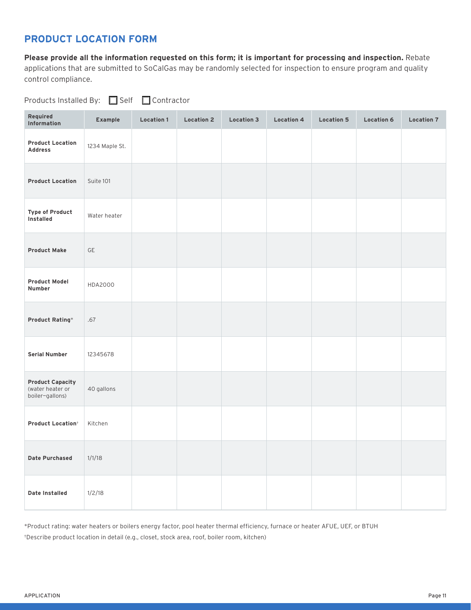# **PRODUCT LOCATION FORM**

**Please provide all the information requested on this form; it is important for processing and inspection.** Rebate applications that are submitted to SoCalGas may be randomly selected for inspection to ensure program and quality control compliance.

| Products Installed By: | $\Box$ Self | $\Box$ Contractor |
|------------------------|-------------|-------------------|
|------------------------|-------------|-------------------|

| Required<br>Information                                        | <b>Example</b> | <b>Location 1</b> | <b>Location 2</b> | <b>Location 3</b> | <b>Location 4</b> | <b>Location 5</b> | <b>Location 6</b> | <b>Location 7</b> |
|----------------------------------------------------------------|----------------|-------------------|-------------------|-------------------|-------------------|-------------------|-------------------|-------------------|
| <b>Product Location</b><br><b>Address</b>                      | 1234 Maple St. |                   |                   |                   |                   |                   |                   |                   |
| <b>Product Location</b>                                        | Suite 101      |                   |                   |                   |                   |                   |                   |                   |
| <b>Type of Product</b><br>Installed                            | Water heater   |                   |                   |                   |                   |                   |                   |                   |
| <b>Product Make</b>                                            | $\mathsf{GE}$  |                   |                   |                   |                   |                   |                   |                   |
| <b>Product Model</b><br>Number                                 | HDA2000        |                   |                   |                   |                   |                   |                   |                   |
| <b>Product Rating*</b>                                         | .67            |                   |                   |                   |                   |                   |                   |                   |
| <b>Serial Number</b>                                           | 12345678       |                   |                   |                   |                   |                   |                   |                   |
| <b>Product Capacity</b><br>(water heater or<br>boiler-gallons) | 40 gallons     |                   |                   |                   |                   |                   |                   |                   |
| <b>Product Location</b> <sup>+</sup>                           | Kitchen        |                   |                   |                   |                   |                   |                   |                   |
| <b>Date Purchased</b>                                          | 1/1/18         |                   |                   |                   |                   |                   |                   |                   |
| <b>Date Installed</b>                                          | 1/2/18         |                   |                   |                   |                   |                   |                   |                   |

\*Product rating: water heaters or boilers energy factor, pool heater thermal efficiency, furnace or heater AFUE, UEF, or BTUH †Describe product location in detail (e.g., closet, stock area, roof, boiler room, kitchen)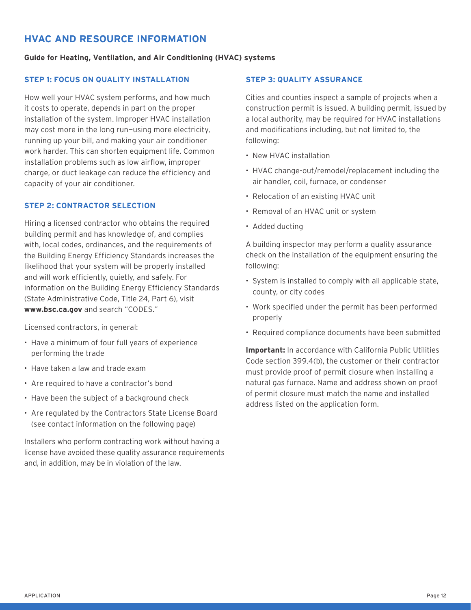# **HVAC AND RESOURCE INFORMATION**

### **Guide for Heating, Ventilation, and Air Conditioning (HVAC) systems**

### **STEP 1: FOCUS ON QUALITY INSTALLATION**

How well your HVAC system performs, and how much it costs to operate, depends in part on the proper installation of the system. Improper HVAC installation may cost more in the long run—using more electricity, running up your bill, and making your air conditioner work harder. This can shorten equipment life. Common installation problems such as low airflow, improper charge, or duct leakage can reduce the efficiency and capacity of your air conditioner.

### **STEP 2: CONTRACTOR SELECTION**

Hiring a licensed contractor who obtains the required building permit and has knowledge of, and complies with, local codes, ordinances, and the requirements of the Building Energy Efficiency Standards increases the likelihood that your system will be properly installed and will work efficiently, quietly, and safely. For information on the Building Energy Efficiency Standards (State Administrative Code, Title 24, Part 6), visit **[www.bsc.ca.gov](http://www.bsc.ca.gov)** and search "CODES."

Licensed contractors, in general:

- Have a minimum of four full years of experience performing the trade
- Have taken a law and trade exam
- Are required to have a contractor's bond
- Have been the subject of a background check
- Are regulated by the Contractors State License Board (see contact information on the following page)

Installers who perform contracting work without having a license have avoided these quality assurance requirements and, in addition, may be in violation of the law.

### **STEP 3: QUALITY ASSURANCE**

Cities and counties inspect a sample of projects when a construction permit is issued. A building permit, issued by a local authority, may be required for HVAC installations and modifications including, but not limited to, the following:

- New HVAC installation
- HVAC change-out/remodel/replacement including the air handler, coil, furnace, or condenser
- Relocation of an existing HVAC unit
- Removal of an HVAC unit or system
- Added ducting

A building inspector may perform a quality assurance check on the installation of the equipment ensuring the following:

- System is installed to comply with all applicable state, county, or city codes
- Work specified under the permit has been performed properly
- Required compliance documents have been submitted

**Important:** In accordance with California Public Utilities Code section 399.4(b), the customer or their contractor must provide proof of permit closure when installing a natural gas furnace. Name and address shown on proof of permit closure must match the name and installed address listed on the application form.